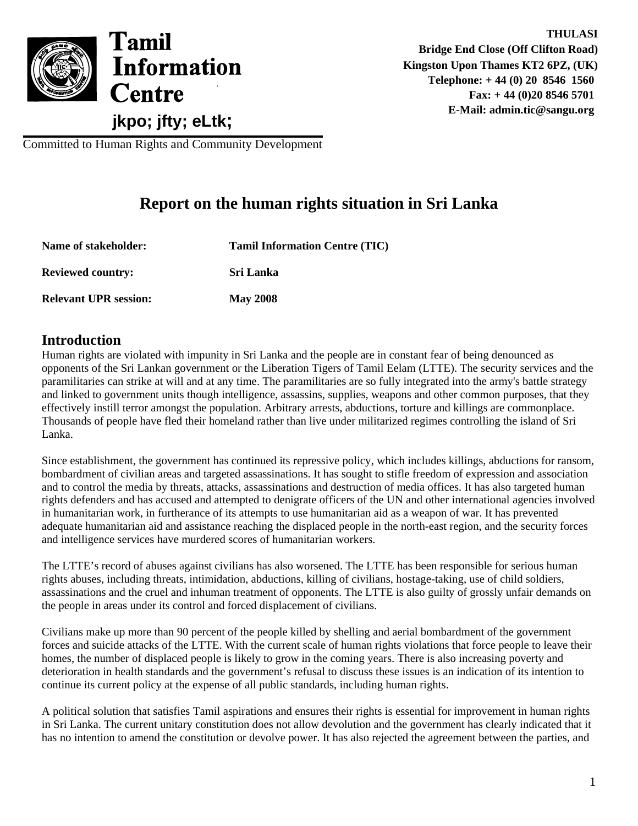

Committed to Human Rights and Community Development

# **Report on the human rights situation in Sri Lanka**

| Name of stakeholder:         | <b>Tamil Information Centre (TIC)</b> |
|------------------------------|---------------------------------------|
| <b>Reviewed country:</b>     | <b>Sri Lanka</b>                      |
| <b>Relevant UPR session:</b> | <b>May 2008</b>                       |

#### **Introduction**

Human rights are violated with impunity in Sri Lanka and the people are in constant fear of being denounced as opponents of the Sri Lankan government or the Liberation Tigers of Tamil Eelam (LTTE). The security services and the paramilitaries can strike at will and at any time. The paramilitaries are so fully integrated into the army's battle strategy and linked to government units though intelligence, assassins, supplies, weapons and other common purposes, that they effectively instill terror amongst the population. Arbitrary arrests, abductions, torture and killings are commonplace. Thousands of people have fled their homeland rather than live under militarized regimes controlling the island of Sri Lanka.

Since establishment, the government has continued its repressive policy, which includes killings, abductions for ransom, bombardment of civilian areas and targeted assassinations. It has sought to stifle freedom of expression and association and to control the media by threats, attacks, assassinations and destruction of media offices. It has also targeted human rights defenders and has accused and attempted to denigrate officers of the UN and other international agencies involved in humanitarian work, in furtherance of its attempts to use humanitarian aid as a weapon of war. It has prevented adequate humanitarian aid and assistance reaching the displaced people in the north-east region, and the security forces and intelligence services have murdered scores of humanitarian workers.

The LTTE's record of abuses against civilians has also worsened. The LTTE has been responsible for serious human rights abuses, including threats, intimidation, abductions, killing of civilians, hostage-taking, use of child soldiers, assassinations and the cruel and inhuman treatment of opponents. The LTTE is also guilty of grossly unfair demands on the people in areas under its control and forced displacement of civilians.

Civilians make up more than 90 percent of the people killed by shelling and aerial bombardment of the government forces and suicide attacks of the LTTE. With the current scale of human rights violations that force people to leave their homes, the number of displaced people is likely to grow in the coming years. There is also increasing poverty and deterioration in health standards and the government's refusal to discuss these issues is an indication of its intention to continue its current policy at the expense of all public standards, including human rights.

A political solution that satisfies Tamil aspirations and ensures their rights is essential for improvement in human rights in Sri Lanka. The current unitary constitution does not allow devolution and the government has clearly indicated that it has no intention to amend the constitution or devolve power. It has also rejected the agreement between the parties, and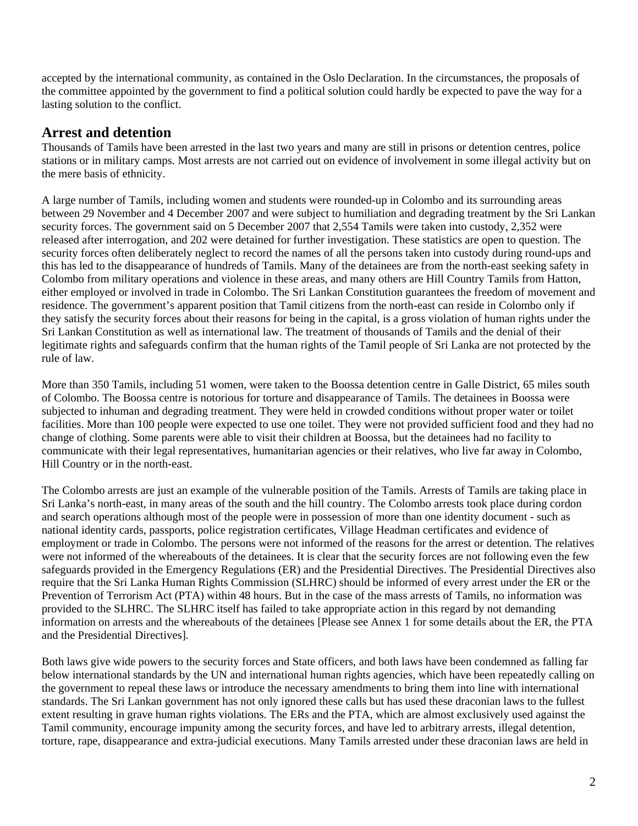accepted by the international community, as contained in the Oslo Declaration. In the circumstances, the proposals of the committee appointed by the government to find a political solution could hardly be expected to pave the way for a lasting solution to the conflict.

## **Arrest and detention**

Thousands of Tamils have been arrested in the last two years and many are still in prisons or detention centres, police stations or in military camps. Most arrests are not carried out on evidence of involvement in some illegal activity but on the mere basis of ethnicity.

A large number of Tamils, including women and students were rounded-up in Colombo and its surrounding areas between 29 November and 4 December 2007 and were subject to humiliation and degrading treatment by the Sri Lankan security forces. The government said on 5 December 2007 that 2,554 Tamils were taken into custody, 2,352 were released after interrogation, and 202 were detained for further investigation. These statistics are open to question. The security forces often deliberately neglect to record the names of all the persons taken into custody during round-ups and this has led to the disappearance of hundreds of Tamils. Many of the detainees are from the north-east seeking safety in Colombo from military operations and violence in these areas, and many others are Hill Country Tamils from Hatton, either employed or involved in trade in Colombo. The Sri Lankan Constitution guarantees the freedom of movement and residence. The government's apparent position that Tamil citizens from the north-east can reside in Colombo only if they satisfy the security forces about their reasons for being in the capital, is a gross violation of human rights under the Sri Lankan Constitution as well as international law. The treatment of thousands of Tamils and the denial of their legitimate rights and safeguards confirm that the human rights of the Tamil people of Sri Lanka are not protected by the rule of law.

More than 350 Tamils, including 51 women, were taken to the Boossa detention centre in Galle District, 65 miles south of Colombo. The Boossa centre is notorious for torture and disappearance of Tamils. The detainees in Boossa were subjected to inhuman and degrading treatment. They were held in crowded conditions without proper water or toilet facilities. More than 100 people were expected to use one toilet. They were not provided sufficient food and they had no change of clothing. Some parents were able to visit their children at Boossa, but the detainees had no facility to communicate with their legal representatives, humanitarian agencies or their relatives, who live far away in Colombo, Hill Country or in the north-east.

The Colombo arrests are just an example of the vulnerable position of the Tamils. Arrests of Tamils are taking place in Sri Lanka's north-east, in many areas of the south and the hill country. The Colombo arrests took place during cordon and search operations although most of the people were in possession of more than one identity document - such as national identity cards, passports, police registration certificates, Village Headman certificates and evidence of employment or trade in Colombo. The persons were not informed of the reasons for the arrest or detention. The relatives were not informed of the whereabouts of the detainees. It is clear that the security forces are not following even the few safeguards provided in the Emergency Regulations (ER) and the Presidential Directives. The Presidential Directives also require that the Sri Lanka Human Rights Commission (SLHRC) should be informed of every arrest under the ER or the Prevention of Terrorism Act (PTA) within 48 hours. But in the case of the mass arrests of Tamils, no information was provided to the SLHRC. The SLHRC itself has failed to take appropriate action in this regard by not demanding information on arrests and the whereabouts of the detainees [Please see Annex 1 for some details about the ER, the PTA and the Presidential Directives].

Both laws give wide powers to the security forces and State officers, and both laws have been condemned as falling far below international standards by the UN and international human rights agencies, which have been repeatedly calling on the government to repeal these laws or introduce the necessary amendments to bring them into line with international standards. The Sri Lankan government has not only ignored these calls but has used these draconian laws to the fullest extent resulting in grave human rights violations. The ERs and the PTA, which are almost exclusively used against the Tamil community, encourage impunity among the security forces, and have led to arbitrary arrests, illegal detention, torture, rape, disappearance and extra-judicial executions. Many Tamils arrested under these draconian laws are held in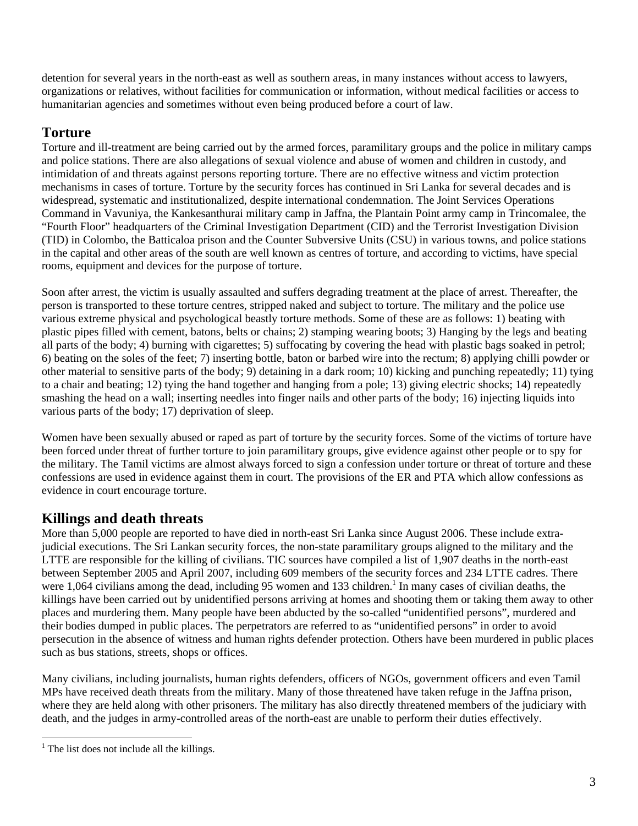detention for several years in the north-east as well as southern areas, in many instances without access to lawyers, organizations or relatives, without facilities for communication or information, without medical facilities or access to humanitarian agencies and sometimes without even being produced before a court of law.

# **Torture**

Torture and ill-treatment are being carried out by the armed forces, paramilitary groups and the police in military camps and police stations. There are also allegations of sexual violence and abuse of women and children in custody, and intimidation of and threats against persons reporting torture. There are no effective witness and victim protection mechanisms in cases of torture. Torture by the security forces has continued in Sri Lanka for several decades and is widespread, systematic and institutionalized, despite international condemnation. The Joint Services Operations Command in Vavuniya, the Kankesanthurai military camp in Jaffna, the Plantain Point army camp in Trincomalee, the "Fourth Floor" headquarters of the Criminal Investigation Department (CID) and the Terrorist Investigation Division (TID) in Colombo, the Batticaloa prison and the Counter Subversive Units (CSU) in various towns, and police stations in the capital and other areas of the south are well known as centres of torture, and according to victims, have special rooms, equipment and devices for the purpose of torture.

Soon after arrest, the victim is usually assaulted and suffers degrading treatment at the place of arrest. Thereafter, the person is transported to these torture centres, stripped naked and subject to torture. The military and the police use various extreme physical and psychological beastly torture methods. Some of these are as follows: 1) beating with plastic pipes filled with cement, batons, belts or chains; 2) stamping wearing boots; 3) Hanging by the legs and beating all parts of the body; 4) burning with cigarettes; 5) suffocating by covering the head with plastic bags soaked in petrol; 6) beating on the soles of the feet; 7) inserting bottle, baton or barbed wire into the rectum; 8) applying chilli powder or other material to sensitive parts of the body; 9) detaining in a dark room; 10) kicking and punching repeatedly; 11) tying to a chair and beating; 12) tying the hand together and hanging from a pole; 13) giving electric shocks; 14) repeatedly smashing the head on a wall; inserting needles into finger nails and other parts of the body; 16) injecting liquids into various parts of the body; 17) deprivation of sleep.

Women have been sexually abused or raped as part of torture by the security forces. Some of the victims of torture have been forced under threat of further torture to join paramilitary groups, give evidence against other people or to spy for the military. The Tamil victims are almost always forced to sign a confession under torture or threat of torture and these confessions are used in evidence against them in court. The provisions of the ER and PTA which allow confessions as evidence in court encourage torture.

# **Killings and death threats**

More than 5,000 people are reported to have died in north-east Sri Lanka since August 2006. These include extrajudicial executions. The Sri Lankan security forces, the non-state paramilitary groups aligned to the military and the LTTE are responsible for the killing of civilians. TIC sources have compiled a list of 1,907 deaths in the north-east between September 2005 and April 2007, including 609 members of the security forces and 234 LTTE cadres. There were 1,064 civilians among the dead, including 95 women and 133 children.<sup>1</sup> In many cases of civilian deaths, the killings have been carried out by unidentified persons arriving at homes and shooting them or taking them away to other places and murdering them. Many people have been abducted by the so-called "unidentified persons", murdered and their bodies dumped in public places. The perpetrators are referred to as "unidentified persons" in order to avoid persecution in the absence of witness and human rights defender protection. Others have been murdered in public places such as bus stations, streets, shops or offices.

Many civilians, including journalists, human rights defenders, officers of NGOs, government officers and even Tamil MPs have received death threats from the military. Many of those threatened have taken refuge in the Jaffna prison, where they are held along with other prisoners. The military has also directly threatened members of the judiciary with death, and the judges in army-controlled areas of the north-east are unable to perform their duties effectively.

 $\overline{a}$ <sup>1</sup> The list does not include all the killings.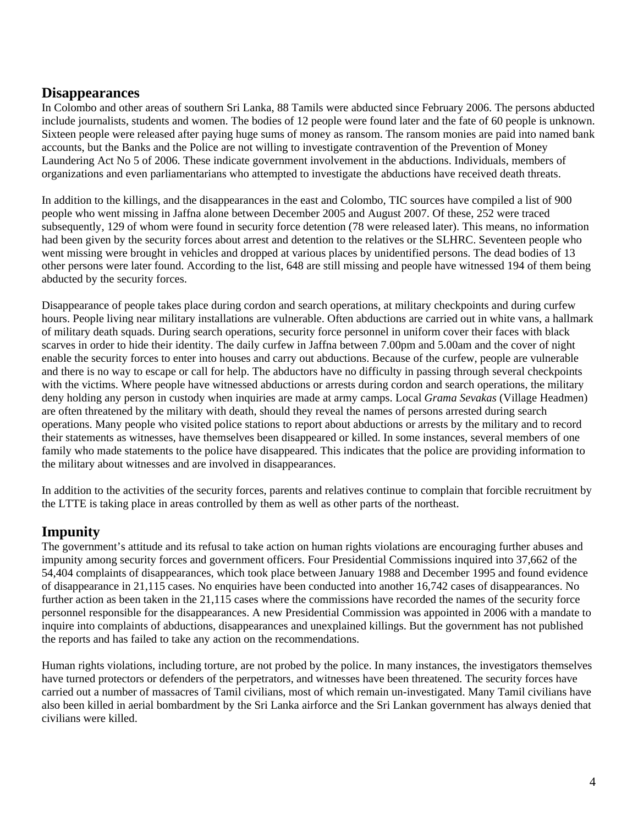#### **Disappearances**

In Colombo and other areas of southern Sri Lanka, 88 Tamils were abducted since February 2006. The persons abducted include journalists, students and women. The bodies of 12 people were found later and the fate of 60 people is unknown. Sixteen people were released after paying huge sums of money as ransom. The ransom monies are paid into named bank accounts, but the Banks and the Police are not willing to investigate contravention of the Prevention of Money Laundering Act No 5 of 2006. These indicate government involvement in the abductions. Individuals, members of organizations and even parliamentarians who attempted to investigate the abductions have received death threats.

In addition to the killings, and the disappearances in the east and Colombo, TIC sources have compiled a list of 900 people who went missing in Jaffna alone between December 2005 and August 2007. Of these, 252 were traced subsequently, 129 of whom were found in security force detention (78 were released later). This means, no information had been given by the security forces about arrest and detention to the relatives or the SLHRC. Seventeen people who went missing were brought in vehicles and dropped at various places by unidentified persons. The dead bodies of 13 other persons were later found. According to the list, 648 are still missing and people have witnessed 194 of them being abducted by the security forces.

Disappearance of people takes place during cordon and search operations, at military checkpoints and during curfew hours. People living near military installations are vulnerable. Often abductions are carried out in white vans, a hallmark of military death squads. During search operations, security force personnel in uniform cover their faces with black scarves in order to hide their identity. The daily curfew in Jaffna between 7.00pm and 5.00am and the cover of night enable the security forces to enter into houses and carry out abductions. Because of the curfew, people are vulnerable and there is no way to escape or call for help. The abductors have no difficulty in passing through several checkpoints with the victims. Where people have witnessed abductions or arrests during cordon and search operations, the military deny holding any person in custody when inquiries are made at army camps. Local *Grama Sevakas* (Village Headmen) are often threatened by the military with death, should they reveal the names of persons arrested during search operations. Many people who visited police stations to report about abductions or arrests by the military and to record their statements as witnesses, have themselves been disappeared or killed. In some instances, several members of one family who made statements to the police have disappeared. This indicates that the police are providing information to the military about witnesses and are involved in disappearances.

In addition to the activities of the security forces, parents and relatives continue to complain that forcible recruitment by the LTTE is taking place in areas controlled by them as well as other parts of the northeast.

# **Impunity**

The government's attitude and its refusal to take action on human rights violations are encouraging further abuses and impunity among security forces and government officers. Four Presidential Commissions inquired into 37,662 of the 54,404 complaints of disappearances, which took place between January 1988 and December 1995 and found evidence of disappearance in 21,115 cases. No enquiries have been conducted into another 16,742 cases of disappearances. No further action as been taken in the 21,115 cases where the commissions have recorded the names of the security force personnel responsible for the disappearances. A new Presidential Commission was appointed in 2006 with a mandate to inquire into complaints of abductions, disappearances and unexplained killings. But the government has not published the reports and has failed to take any action on the recommendations.

Human rights violations, including torture, are not probed by the police. In many instances, the investigators themselves have turned protectors or defenders of the perpetrators, and witnesses have been threatened. The security forces have carried out a number of massacres of Tamil civilians, most of which remain un-investigated. Many Tamil civilians have also been killed in aerial bombardment by the Sri Lanka airforce and the Sri Lankan government has always denied that civilians were killed.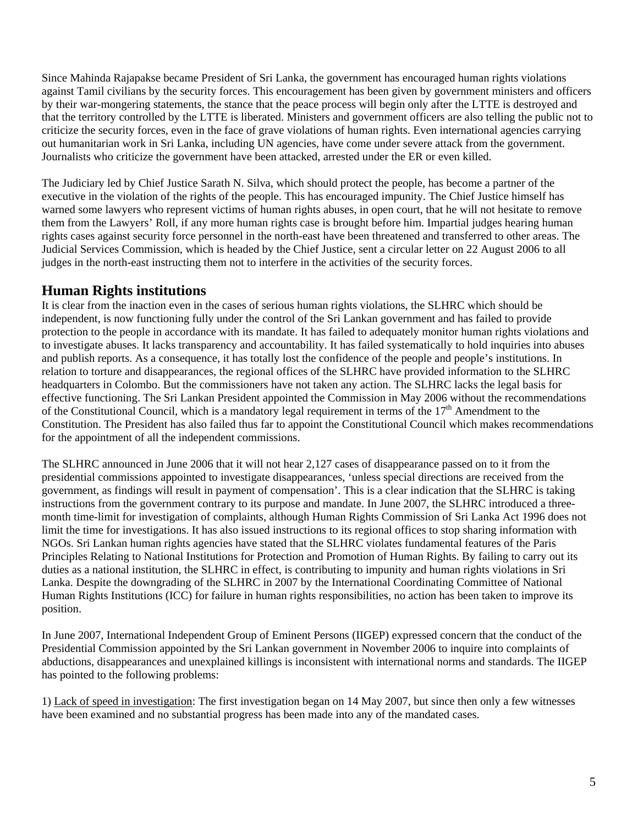Since Mahinda Rajapakse became President of Sri Lanka, the government has encouraged human rights violations against Tamil civilians by the security forces. This encouragement has been given by government ministers and officers by their war-mongering statements, the stance that the peace process will begin only after the LTTE is destroyed and that the territory controlled by the LTTE is liberated. Ministers and government officers are also telling the public not to criticize the security forces, even in the face of grave violations of human rights. Even international agencies carrying out humanitarian work in Sri Lanka, including UN agencies, have come under severe attack from the government. Journalists who criticize the government have been attacked, arrested under the ER or even killed.

The Judiciary led by Chief Justice Sarath N. Silva, which should protect the people, has become a partner of the executive in the violation of the rights of the people. This has encouraged impunity. The Chief Justice himself has warned some lawyers who represent victims of human rights abuses, in open court, that he will not hesitate to remove them from the Lawyers' Roll, if any more human rights case is brought before him. Impartial judges hearing human rights cases against security force personnel in the north-east have been threatened and transferred to other areas. The Judicial Services Commission, which is headed by the Chief Justice, sent a circular letter on 22 August 2006 to all judges in the north-east instructing them not to interfere in the activities of the security forces.

### **Human Rights institutions**

It is clear from the inaction even in the cases of serious human rights violations, the SLHRC which should be independent, is now functioning fully under the control of the Sri Lankan government and has failed to provide protection to the people in accordance with its mandate. It has failed to adequately monitor human rights violations and to investigate abuses. It lacks transparency and accountability. It has failed systematically to hold inquiries into abuses and publish reports. As a consequence, it has totally lost the confidence of the people and people's institutions. In relation to torture and disappearances, the regional offices of the SLHRC have provided information to the SLHRC headquarters in Colombo. But the commissioners have not taken any action. The SLHRC lacks the legal basis for effective functioning. The Sri Lankan President appointed the Commission in May 2006 without the recommendations of the Constitutional Council, which is a mandatory legal requirement in terms of the  $17<sup>th</sup>$  Amendment to the Constitution. The President has also failed thus far to appoint the Constitutional Council which makes recommendations for the appointment of all the independent commissions.

The SLHRC announced in June 2006 that it will not hear 2,127 cases of disappearance passed on to it from the presidential commissions appointed to investigate disappearances, 'unless special directions are received from the government, as findings will result in payment of compensation'. This is a clear indication that the SLHRC is taking instructions from the government contrary to its purpose and mandate. In June 2007, the SLHRC introduced a threemonth time-limit for investigation of complaints, although Human Rights Commission of Sri Lanka Act 1996 does not limit the time for investigations. It has also issued instructions to its regional offices to stop sharing information with NGOs. Sri Lankan human rights agencies have stated that the SLHRC violates fundamental features of the Paris Principles Relating to National Institutions for Protection and Promotion of Human Rights. By failing to carry out its duties as a national institution, the SLHRC in effect, is contributing to impunity and human rights violations in Sri Lanka. Despite the downgrading of the SLHRC in 2007 by the International Coordinating Committee of National Human Rights Institutions (ICC) for failure in human rights responsibilities, no action has been taken to improve its position.

In June 2007, International Independent Group of Eminent Persons (IIGEP) expressed concern that the conduct of the Presidential Commission appointed by the Sri Lankan government in November 2006 to inquire into complaints of abductions, disappearances and unexplained killings is inconsistent with international norms and standards. The IIGEP has pointed to the following problems:

1) Lack of speed in investigation: The first investigation began on 14 May 2007, but since then only a few witnesses have been examined and no substantial progress has been made into any of the mandated cases.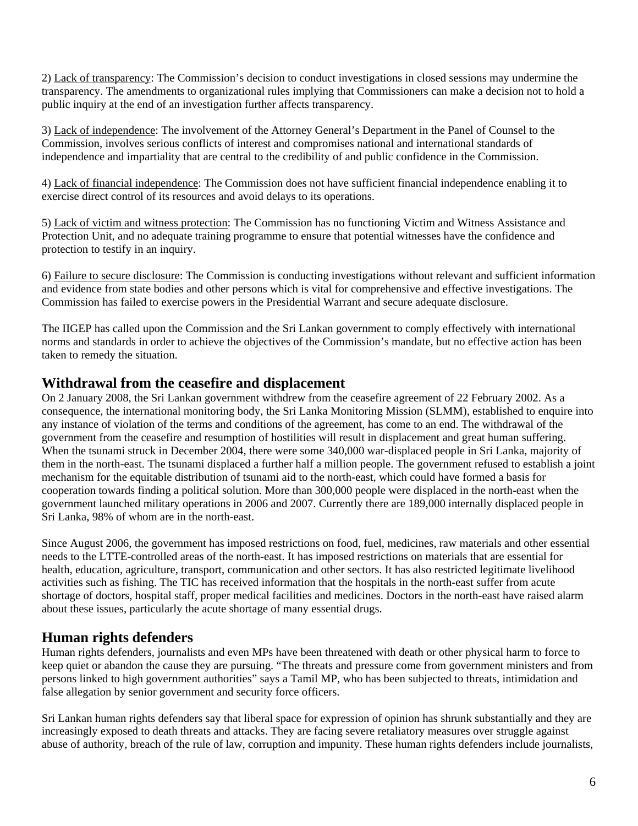2) Lack of transparency: The Commission's decision to conduct investigations in closed sessions may undermine the transparency. The amendments to organizational rules implying that Commissioners can make a decision not to hold a public inquiry at the end of an investigation further affects transparency.

3) Lack of independence: The involvement of the Attorney General's Department in the Panel of Counsel to the Commission, involves serious conflicts of interest and compromises national and international standards of independence and impartiality that are central to the credibility of and public confidence in the Commission.

4) Lack of financial independence: The Commission does not have sufficient financial independence enabling it to exercise direct control of its resources and avoid delays to its operations.

5) Lack of victim and witness protection: The Commission has no functioning Victim and Witness Assistance and Protection Unit, and no adequate training programme to ensure that potential witnesses have the confidence and protection to testify in an inquiry.

6) Failure to secure disclosure: The Commission is conducting investigations without relevant and sufficient information and evidence from state bodies and other persons which is vital for comprehensive and effective investigations. The Commission has failed to exercise powers in the Presidential Warrant and secure adequate disclosure.

The IIGEP has called upon the Commission and the Sri Lankan government to comply effectively with international norms and standards in order to achieve the objectives of the Commission's mandate, but no effective action has been taken to remedy the situation.

#### **Withdrawal from the ceasefire and displacement**

On 2 January 2008, the Sri Lankan government withdrew from the ceasefire agreement of 22 February 2002. As a consequence, the international monitoring body, the Sri Lanka Monitoring Mission (SLMM), established to enquire into any instance of violation of the terms and conditions of the agreement, has come to an end. The withdrawal of the government from the ceasefire and resumption of hostilities will result in displacement and great human suffering. When the tsunami struck in December 2004, there were some 340,000 war-displaced people in Sri Lanka, majority of them in the north-east. The tsunami displaced a further half a million people. The government refused to establish a joint mechanism for the equitable distribution of tsunami aid to the north-east, which could have formed a basis for cooperation towards finding a political solution. More than 300,000 people were displaced in the north-east when the government launched military operations in 2006 and 2007. Currently there are 189,000 internally displaced people in Sri Lanka, 98% of whom are in the north-east.

Since August 2006, the government has imposed restrictions on food, fuel, medicines, raw materials and other essential needs to the LTTE-controlled areas of the north-east. It has imposed restrictions on materials that are essential for health, education, agriculture, transport, communication and other sectors. It has also restricted legitimate livelihood activities such as fishing. The TIC has received information that the hospitals in the north-east suffer from acute shortage of doctors, hospital staff, proper medical facilities and medicines. Doctors in the north-east have raised alarm about these issues, particularly the acute shortage of many essential drugs.

#### **Human rights defenders**

Human rights defenders, journalists and even MPs have been threatened with death or other physical harm to force to keep quiet or abandon the cause they are pursuing. "The threats and pressure come from government ministers and from persons linked to high government authorities" says a Tamil MP, who has been subjected to threats, intimidation and false allegation by senior government and security force officers.

Sri Lankan human rights defenders say that liberal space for expression of opinion has shrunk substantially and they are increasingly exposed to death threats and attacks. They are facing severe retaliatory measures over struggle against abuse of authority, breach of the rule of law, corruption and impunity. These human rights defenders include journalists,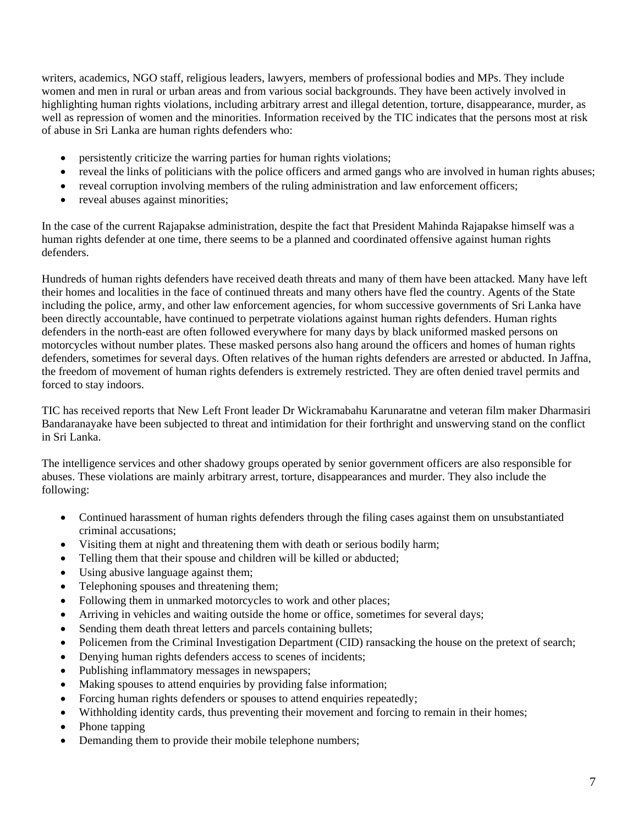writers, academics, NGO staff, religious leaders, lawyers, members of professional bodies and MPs. They include women and men in rural or urban areas and from various social backgrounds. They have been actively involved in highlighting human rights violations, including arbitrary arrest and illegal detention, torture, disappearance, murder, as well as repression of women and the minorities. Information received by the TIC indicates that the persons most at risk of abuse in Sri Lanka are human rights defenders who:

- persistently criticize the warring parties for human rights violations;
- reveal the links of politicians with the police officers and armed gangs who are involved in human rights abuses;
- reveal corruption involving members of the ruling administration and law enforcement officers:
- reveal abuses against minorities;

In the case of the current Rajapakse administration, despite the fact that President Mahinda Rajapakse himself was a human rights defender at one time, there seems to be a planned and coordinated offensive against human rights defenders.

Hundreds of human rights defenders have received death threats and many of them have been attacked. Many have left their homes and localities in the face of continued threats and many others have fled the country. Agents of the State including the police, army, and other law enforcement agencies, for whom successive governments of Sri Lanka have been directly accountable, have continued to perpetrate violations against human rights defenders. Human rights defenders in the north-east are often followed everywhere for many days by black uniformed masked persons on motorcycles without number plates. These masked persons also hang around the officers and homes of human rights defenders, sometimes for several days. Often relatives of the human rights defenders are arrested or abducted. In Jaffna, the freedom of movement of human rights defenders is extremely restricted. They are often denied travel permits and forced to stay indoors.

TIC has received reports that New Left Front leader Dr Wickramabahu Karunaratne and veteran film maker Dharmasiri Bandaranayake have been subjected to threat and intimidation for their forthright and unswerving stand on the conflict in Sri Lanka.

The intelligence services and other shadowy groups operated by senior government officers are also responsible for abuses. These violations are mainly arbitrary arrest, torture, disappearances and murder. They also include the following:

- Continued harassment of human rights defenders through the filing cases against them on unsubstantiated criminal accusations;
- Visiting them at night and threatening them with death or serious bodily harm;
- Telling them that their spouse and children will be killed or abducted;
- Using abusive language against them;
- Telephoning spouses and threatening them;
- Following them in unmarked motorcycles to work and other places;
- Arriving in vehicles and waiting outside the home or office, sometimes for several days;
- Sending them death threat letters and parcels containing bullets;
- Policemen from the Criminal Investigation Department (CID) ransacking the house on the pretext of search;
- Denying human rights defenders access to scenes of incidents;
- Publishing inflammatory messages in newspapers;
- Making spouses to attend enquiries by providing false information;
- Forcing human rights defenders or spouses to attend enquiries repeatedly;
- Withholding identity cards, thus preventing their movement and forcing to remain in their homes;
- Phone tapping
- Demanding them to provide their mobile telephone numbers;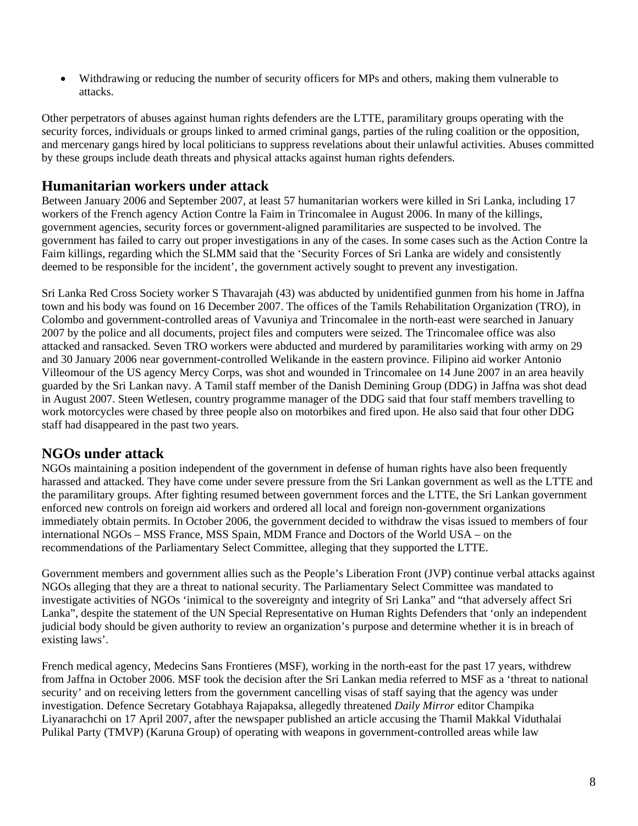• Withdrawing or reducing the number of security officers for MPs and others, making them vulnerable to attacks.

Other perpetrators of abuses against human rights defenders are the LTTE, paramilitary groups operating with the security forces, individuals or groups linked to armed criminal gangs, parties of the ruling coalition or the opposition, and mercenary gangs hired by local politicians to suppress revelations about their unlawful activities. Abuses committed by these groups include death threats and physical attacks against human rights defenders.

#### **Humanitarian workers under attack**

Between January 2006 and September 2007, at least 57 humanitarian workers were killed in Sri Lanka, including 17 workers of the French agency Action Contre la Faim in Trincomalee in August 2006. In many of the killings, government agencies, security forces or government-aligned paramilitaries are suspected to be involved. The government has failed to carry out proper investigations in any of the cases. In some cases such as the Action Contre la Faim killings, regarding which the SLMM said that the 'Security Forces of Sri Lanka are widely and consistently deemed to be responsible for the incident', the government actively sought to prevent any investigation.

Sri Lanka Red Cross Society worker S Thavarajah (43) was abducted by unidentified gunmen from his home in Jaffna town and his body was found on 16 December 2007. The offices of the Tamils Rehabilitation Organization (TRO), in Colombo and government-controlled areas of Vavuniya and Trincomalee in the north-east were searched in January 2007 by the police and all documents, project files and computers were seized. The Trincomalee office was also attacked and ransacked. Seven TRO workers were abducted and murdered by paramilitaries working with army on 29 and 30 January 2006 near government-controlled Welikande in the eastern province. Filipino aid worker Antonio Villeomour of the US agency Mercy Corps, was shot and wounded in Trincomalee on 14 June 2007 in an area heavily guarded by the Sri Lankan navy. A Tamil staff member of the Danish Demining Group (DDG) in Jaffna was shot dead in August 2007. Steen Wetlesen, country programme manager of the DDG said that four staff members travelling to work motorcycles were chased by three people also on motorbikes and fired upon. He also said that four other DDG staff had disappeared in the past two years.

#### **NGOs under attack**

NGOs maintaining a position independent of the government in defense of human rights have also been frequently harassed and attacked. They have come under severe pressure from the Sri Lankan government as well as the LTTE and the paramilitary groups. After fighting resumed between government forces and the LTTE, the Sri Lankan government enforced new controls on foreign aid workers and ordered all local and foreign non-government organizations immediately obtain permits. In October 2006, the government decided to withdraw the visas issued to members of four international NGOs – MSS France, MSS Spain, MDM France and Doctors of the World USA – on the recommendations of the Parliamentary Select Committee, alleging that they supported the LTTE.

Government members and government allies such as the People's Liberation Front (JVP) continue verbal attacks against NGOs alleging that they are a threat to national security. The Parliamentary Select Committee was mandated to investigate activities of NGOs 'inimical to the sovereignty and integrity of Sri Lanka" and "that adversely affect Sri Lanka", despite the statement of the UN Special Representative on Human Rights Defenders that 'only an independent judicial body should be given authority to review an organization's purpose and determine whether it is in breach of existing laws'.

French medical agency, Medecins Sans Frontieres (MSF), working in the north-east for the past 17 years, withdrew from Jaffna in October 2006. MSF took the decision after the Sri Lankan media referred to MSF as a 'threat to national security' and on receiving letters from the government cancelling visas of staff saying that the agency was under investigation. Defence Secretary Gotabhaya Rajapaksa, allegedly threatened *Daily Mirror* editor Champika Liyanarachchi on 17 April 2007, after the newspaper published an article accusing the Thamil Makkal Viduthalai Pulikal Party (TMVP) (Karuna Group) of operating with weapons in government-controlled areas while law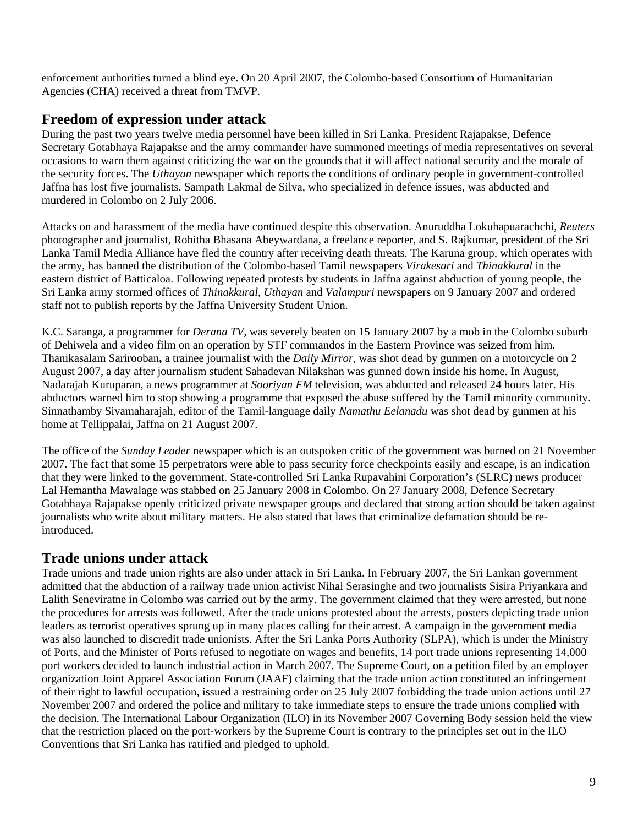enforcement authorities turned a blind eye. On 20 April 2007, the Colombo-based Consortium of Humanitarian Agencies (CHA) received a threat from TMVP.

### **Freedom of expression under attack**

During the past two years twelve media personnel have been killed in Sri Lanka. President Rajapakse, Defence Secretary Gotabhaya Rajapakse and the army commander have summoned meetings of media representatives on several occasions to warn them against criticizing the war on the grounds that it will affect national security and the morale of the security forces. The *Uthayan* newspaper which reports the conditions of ordinary people in government-controlled Jaffna has lost five journalists. Sampath Lakmal de Silva, who specialized in defence issues, was abducted and murdered in Colombo on 2 July 2006.

Attacks on and harassment of the media have continued despite this observation. Anuruddha Lokuhapuarachchi, *Reuters* photographer and journalist, Rohitha Bhasana Abeywardana, a freelance reporter, and S. Rajkumar, president of the Sri Lanka Tamil Media Alliance have fled the country after receiving death threats. The Karuna group, which operates with the army, has banned the distribution of the Colombo-based Tamil newspapers *Virakesari* and *Thinakkural* in the eastern district of Batticaloa. Following repeated protests by students in Jaffna against abduction of young people, the Sri Lanka army stormed offices of *Thinakkural*, *Uthayan* and *Valampuri* newspapers on 9 January 2007 and ordered staff not to publish reports by the Jaffna University Student Union.

K.C. Saranga, a programmer for *Derana TV,* was severely beaten on 15 January 2007 by a mob in the Colombo suburb of Dehiwela and a video film on an operation by STF commandos in the Eastern Province was seized from him. Thanikasalam Sarirooban**,** a trainee journalist with the *Daily Mirror*, was shot dead by gunmen on a motorcycle on 2 August 2007, a day after journalism student Sahadevan Nilakshan was gunned down inside his home. In August, Nadarajah Kuruparan, a news programmer at *Sooriyan FM* television, was abducted and released 24 hours later. His abductors warned him to stop showing a programme that exposed the abuse suffered by the Tamil minority community. Sinnathamby Sivamaharajah, editor of the Tamil-language daily *Namathu Eelanadu* was shot dead by gunmen at his home at Tellippalai, Jaffna on 21 August 2007.

The office of the *Sunday Leader* newspaper which is an outspoken critic of the government was burned on 21 November 2007. The fact that some 15 perpetrators were able to pass security force checkpoints easily and escape, is an indication that they were linked to the government. State-controlled Sri Lanka Rupavahini Corporation's (SLRC) news producer Lal Hemantha Mawalage was stabbed on 25 January 2008 in Colombo. On 27 January 2008, Defence Secretary Gotabhaya Rajapakse openly criticized private newspaper groups and declared that strong action should be taken against journalists who write about military matters. He also stated that laws that criminalize defamation should be reintroduced.

## **Trade unions under attack**

Trade unions and trade union rights are also under attack in Sri Lanka. In February 2007, the Sri Lankan government admitted that the abduction of a railway trade union activist Nihal Serasinghe and two journalists Sisira Priyankara and Lalith Seneviratne in Colombo was carried out by the army. The government claimed that they were arrested, but none the procedures for arrests was followed. After the trade unions protested about the arrests, posters depicting trade union leaders as terrorist operatives sprung up in many places calling for their arrest. A campaign in the government media was also launched to discredit trade unionists. After the Sri Lanka Ports Authority (SLPA), which is under the Ministry of Ports, and the Minister of Ports refused to negotiate on wages and benefits, 14 port trade unions representing 14,000 port workers decided to launch industrial action in March 2007. The Supreme Court, on a petition filed by an employer organization Joint Apparel Association Forum (JAAF) claiming that the trade union action constituted an infringement of their right to lawful occupation, issued a restraining order on 25 July 2007 forbidding the trade union actions until 27 November 2007 and ordered the police and military to take immediate steps to ensure the trade unions complied with the decision. The International Labour Organization (ILO) in its November 2007 Governing Body session held the view that the restriction placed on the port-workers by the Supreme Court is contrary to the principles set out in the ILO Conventions that Sri Lanka has ratified and pledged to uphold.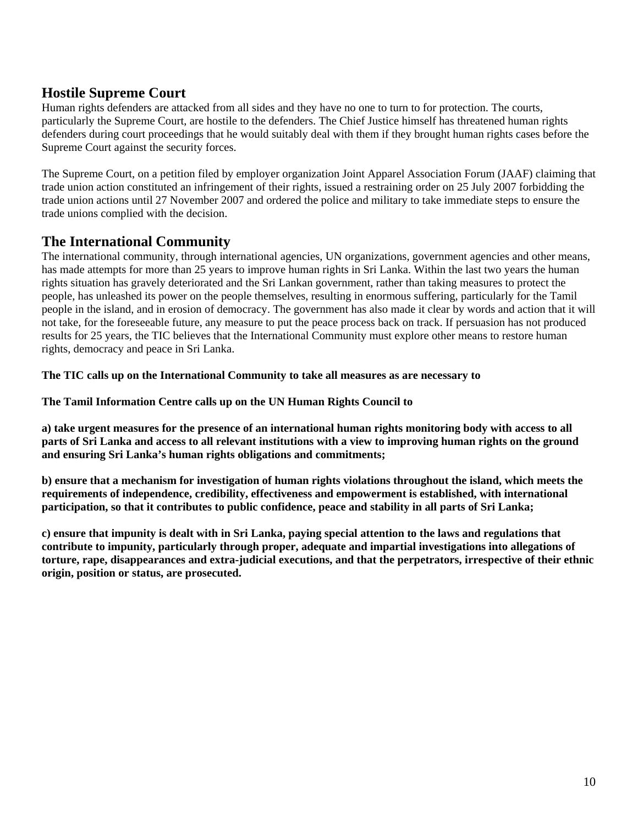### **Hostile Supreme Court**

Human rights defenders are attacked from all sides and they have no one to turn to for protection. The courts, particularly the Supreme Court, are hostile to the defenders. The Chief Justice himself has threatened human rights defenders during court proceedings that he would suitably deal with them if they brought human rights cases before the Supreme Court against the security forces.

The Supreme Court, on a petition filed by employer organization Joint Apparel Association Forum (JAAF) claiming that trade union action constituted an infringement of their rights, issued a restraining order on 25 July 2007 forbidding the trade union actions until 27 November 2007 and ordered the police and military to take immediate steps to ensure the trade unions complied with the decision.

#### **The International Community**

The international community, through international agencies, UN organizations, government agencies and other means, has made attempts for more than 25 years to improve human rights in Sri Lanka. Within the last two years the human rights situation has gravely deteriorated and the Sri Lankan government, rather than taking measures to protect the people, has unleashed its power on the people themselves, resulting in enormous suffering, particularly for the Tamil people in the island, and in erosion of democracy. The government has also made it clear by words and action that it will not take, for the foreseeable future, any measure to put the peace process back on track. If persuasion has not produced results for 25 years, the TIC believes that the International Community must explore other means to restore human rights, democracy and peace in Sri Lanka.

**The TIC calls up on the International Community to take all measures as are necessary to** 

**The Tamil Information Centre calls up on the UN Human Rights Council to** 

**a) take urgent measures for the presence of an international human rights monitoring body with access to all parts of Sri Lanka and access to all relevant institutions with a view to improving human rights on the ground and ensuring Sri Lanka's human rights obligations and commitments;** 

**b) ensure that a mechanism for investigation of human rights violations throughout the island, which meets the requirements of independence, credibility, effectiveness and empowerment is established, with international participation, so that it contributes to public confidence, peace and stability in all parts of Sri Lanka;** 

**c) ensure that impunity is dealt with in Sri Lanka, paying special attention to the laws and regulations that contribute to impunity, particularly through proper, adequate and impartial investigations into allegations of torture, rape, disappearances and extra-judicial executions, and that the perpetrators, irrespective of their ethnic origin, position or status, are prosecuted.**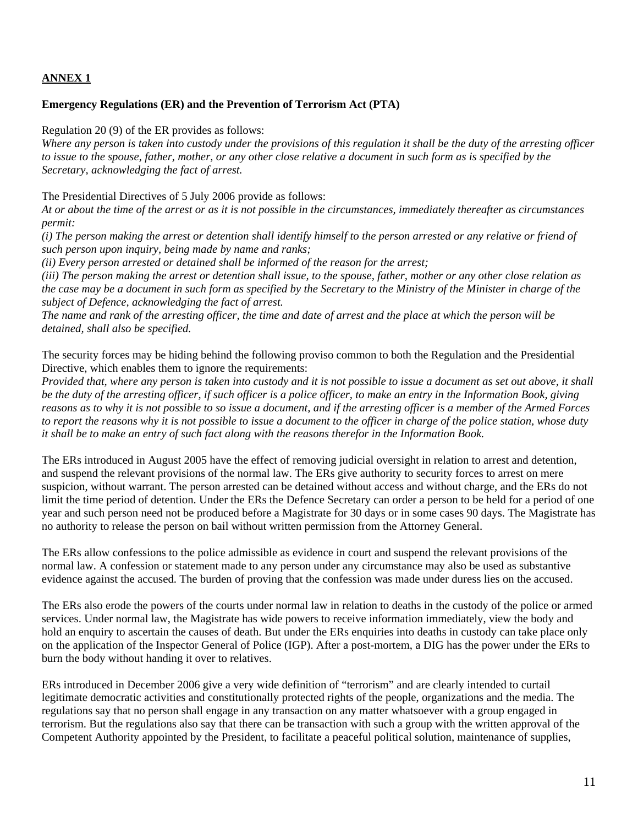#### **ANNEX 1**

#### **Emergency Regulations (ER) and the Prevention of Terrorism Act (PTA)**

Regulation 20 (9) of the ER provides as follows:

*Where any person is taken into custody under the provisions of this regulation it shall be the duty of the arresting officer to issue to the spouse, father, mother, or any other close relative a document in such form as is specified by the Secretary, acknowledging the fact of arrest.* 

The Presidential Directives of 5 July 2006 provide as follows:

*At or about the time of the arrest or as it is not possible in the circumstances, immediately thereafter as circumstances permit:* 

*(i) The person making the arrest or detention shall identify himself to the person arrested or any relative or friend of such person upon inquiry, being made by name and ranks;* 

*(ii) Every person arrested or detained shall be informed of the reason for the arrest;* 

*(iii) The person making the arrest or detention shall issue, to the spouse, father, mother or any other close relation as the case may be a document in such form as specified by the Secretary to the Ministry of the Minister in charge of the subject of Defence, acknowledging the fact of arrest.* 

*The name and rank of the arresting officer, the time and date of arrest and the place at which the person will be detained, shall also be specified.* 

The security forces may be hiding behind the following proviso common to both the Regulation and the Presidential Directive, which enables them to ignore the requirements:

*Provided that, where any person is taken into custody and it is not possible to issue a document as set out above, it shall be the duty of the arresting officer, if such officer is a police officer, to make an entry in the Information Book, giving reasons as to why it is not possible to so issue a document, and if the arresting officer is a member of the Armed Forces to report the reasons why it is not possible to issue a document to the officer in charge of the police station, whose duty it shall be to make an entry of such fact along with the reasons therefor in the Information Book.* 

The ERs introduced in August 2005 have the effect of removing judicial oversight in relation to arrest and detention, and suspend the relevant provisions of the normal law. The ERs give authority to security forces to arrest on mere suspicion, without warrant. The person arrested can be detained without access and without charge, and the ERs do not limit the time period of detention. Under the ERs the Defence Secretary can order a person to be held for a period of one year and such person need not be produced before a Magistrate for 30 days or in some cases 90 days. The Magistrate has no authority to release the person on bail without written permission from the Attorney General.

The ERs allow confessions to the police admissible as evidence in court and suspend the relevant provisions of the normal law. A confession or statement made to any person under any circumstance may also be used as substantive evidence against the accused. The burden of proving that the confession was made under duress lies on the accused.

The ERs also erode the powers of the courts under normal law in relation to deaths in the custody of the police or armed services. Under normal law, the Magistrate has wide powers to receive information immediately, view the body and hold an enquiry to ascertain the causes of death. But under the ERs enquiries into deaths in custody can take place only on the application of the Inspector General of Police (IGP). After a post-mortem, a DIG has the power under the ERs to burn the body without handing it over to relatives.

ERs introduced in December 2006 give a very wide definition of "terrorism" and are clearly intended to curtail legitimate democratic activities and constitutionally protected rights of the people, organizations and the media. The regulations say that no person shall engage in any transaction on any matter whatsoever with a group engaged in terrorism. But the regulations also say that there can be transaction with such a group with the written approval of the Competent Authority appointed by the President, to facilitate a peaceful political solution, maintenance of supplies,